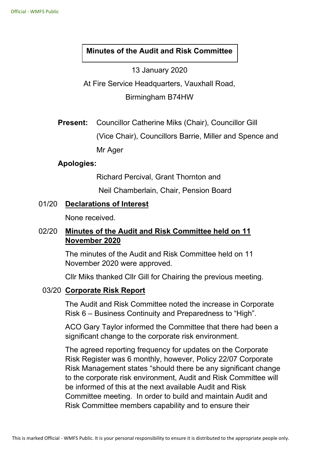## **Minutes of the Audit and Risk Committee**

13 January 2020

At Fire Service Headquarters, Vauxhall Road,

Birmingham B74HW

**Present:** Councillor Catherine Miks (Chair), Councillor Gill

(Vice Chair), Councillors Barrie, Miller and Spence and

Mr Ager

### **Apologies:**

Richard Percival, Grant Thornton and

Neil Chamberlain, Chair, Pension Board

## 01/20 **Declarations of Interest**

None received.

# 02/20 **Minutes of the Audit and Risk Committee held on 11 November 2020**

The minutes of the Audit and Risk Committee held on 11 November 2020 were approved.

Cllr Miks thanked Cllr Gill for Chairing the previous meeting.

#### 03/20 **Corporate Risk Report**

 The Audit and Risk Committee noted the increase in Corporate Risk 6 – Business Continuity and Preparedness to "High".

 ACO Gary Taylor informed the Committee that there had been a significant change to the corporate risk environment.

 The agreed reporting frequency for updates on the Corporate Risk Register was 6 monthly, however, Policy 22/07 Corporate Risk Management states "should there be any significant change to the corporate risk environment, Audit and Risk Committee will be informed of this at the next available Audit and Risk Committee meeting. In order to build and maintain Audit and Risk Committee members capability and to ensure their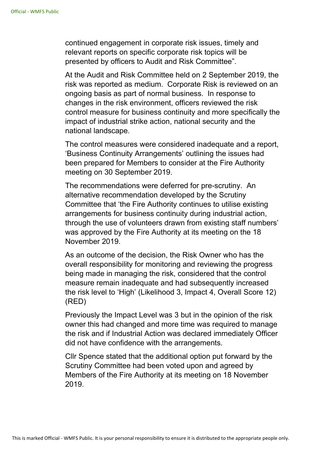continued engagement in corporate risk issues, timely and relevant reports on specific corporate risk topics will be presented by officers to Audit and Risk Committee".

 At the Audit and Risk Committee held on 2 September 2019, the risk was reported as medium. Corporate Risk is reviewed on an ongoing basis as part of normal business. In response to changes in the risk environment, officers reviewed the risk control measure for business continuity and more specifically the impact of industrial strike action, national security and the national landscape.

 The control measures were considered inadequate and a report, 'Business Continuity Arrangements' outlining the issues had been prepared for Members to consider at the Fire Authority meeting on 30 September 2019.

 The recommendations were deferred for pre-scrutiny. An alternative recommendation developed by the Scrutiny Committee that 'the Fire Authority continues to utilise existing arrangements for business continuity during industrial action, through the use of volunteers drawn from existing staff numbers' was approved by the Fire Authority at its meeting on the 18 November 2019.

 As an outcome of the decision, the Risk Owner who has the overall responsibility for monitoring and reviewing the progress being made in managing the risk, considered that the control measure remain inadequate and had subsequently increased the risk level to 'High' (Likelihood 3, Impact 4, Overall Score 12) (RED)

 Previously the Impact Level was 3 but in the opinion of the risk owner this had changed and more time was required to manage the risk and if Industrial Action was declared immediately Officer did not have confidence with the arrangements.

 Cllr Spence stated that the additional option put forward by the Scrutiny Committee had been voted upon and agreed by Members of the Fire Authority at its meeting on 18 November 2019.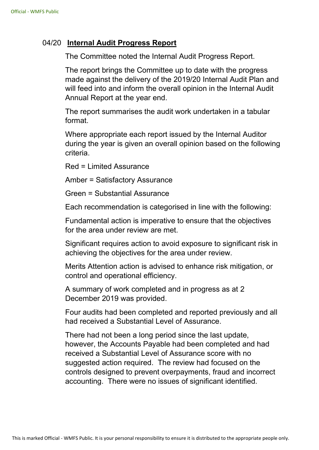## 04/20 **Internal Audit Progress Report**

The Committee noted the Internal Audit Progress Report.

The report brings the Committee up to date with the progress made against the delivery of the 2019/20 Internal Audit Plan and will feed into and inform the overall opinion in the Internal Audit Annual Report at the year end.

The report summarises the audit work undertaken in a tabular format.

Where appropriate each report issued by the Internal Auditor during the year is given an overall opinion based on the following criteria.

Red = Limited Assurance

Amber = Satisfactory Assurance

Green = Substantial Assurance

Each recommendation is categorised in line with the following:

Fundamental action is imperative to ensure that the objectives for the area under review are met.

Significant requires action to avoid exposure to significant risk in achieving the objectives for the area under review.

Merits Attention action is advised to enhance risk mitigation, or control and operational efficiency.

A summary of work completed and in progress as at 2 December 2019 was provided.

Four audits had been completed and reported previously and all had received a Substantial Level of Assurance.

There had not been a long period since the last update, however, the Accounts Payable had been completed and had received a Substantial Level of Assurance score with no suggested action required. The review had focused on the controls designed to prevent overpayments, fraud and incorrect accounting. There were no issues of significant identified.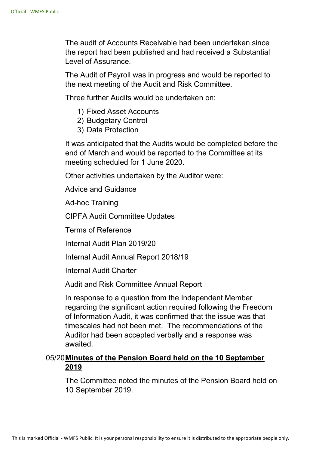The audit of Accounts Receivable had been undertaken since the report had been published and had received a Substantial Level of Assurance.

The Audit of Payroll was in progress and would be reported to the next meeting of the Audit and Risk Committee.

Three further Audits would be undertaken on:

- 1) Fixed Asset Accounts
- 2) Budgetary Control
- 3) Data Protection

It was anticipated that the Audits would be completed before the end of March and would be reported to the Committee at its meeting scheduled for 1 June 2020.

Other activities undertaken by the Auditor were:

Advice and Guidance

Ad-hoc Training

CIPFA Audit Committee Updates

Terms of Reference

Internal Audit Plan 2019/20

Internal Audit Annual Report 2018/19

Internal Audit Charter

Audit and Risk Committee Annual Report

In response to a question from the Independent Member regarding the significant action required following the Freedom of Information Audit, it was confirmed that the issue was that timescales had not been met. The recommendations of the Auditor had been accepted verbally and a response was awaited.

# 05/20 **Minutes of the Pension Board held on the 10 September 2019**

The Committee noted the minutes of the Pension Board held on 10 September 2019.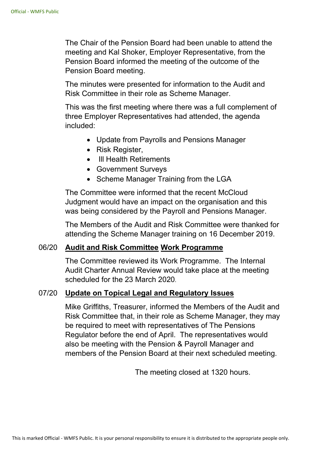The Chair of the Pension Board had been unable to attend the meeting and Kal Shoker, Employer Representative, from the Pension Board informed the meeting of the outcome of the Pension Board meeting.

The minutes were presented for information to the Audit and Risk Committee in their role as Scheme Manager.

This was the first meeting where there was a full complement of three Employer Representatives had attended, the agenda included:

- Update from Payrolls and Pensions Manager
- Risk Register,
- Ill Health Retirements
- Government Surveys
- Scheme Manager Training from the LGA

The Committee were informed that the recent McCloud Judgment would have an impact on the organisation and this was being considered by the Payroll and Pensions Manager.

The Members of the Audit and Risk Committee were thanked for attending the Scheme Manager training on 16 December 2019.

#### 06/20 **Audit and Risk Committee Work Programme**

The Committee reviewed its Work Programme. The Internal Audit Charter Annual Review would take place at the meeting scheduled for the 23 March 2020.

#### 07/20 **Update on Topical Legal and Regulatory Issues**

Mike Griffiths, Treasurer, informed the Members of the Audit and Risk Committee that, in their role as Scheme Manager, they may be required to meet with representatives of The Pensions Regulator before the end of April. The representatives would also be meeting with the Pension & Payroll Manager and members of the Pension Board at their next scheduled meeting.

The meeting closed at 1320 hours.